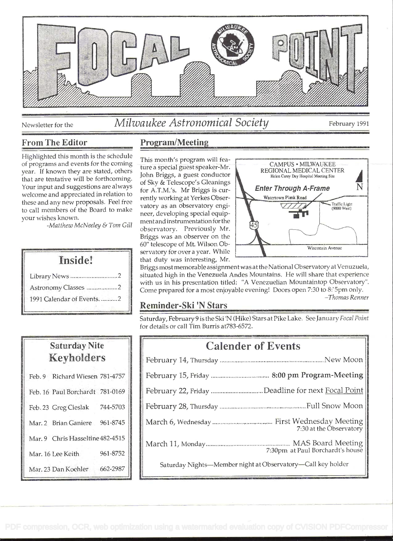

# Newsletter for the *Milwaukee Astronomical Society* February 1991

Highlighted this month is the schedule of programs and events for the coming year. If known they are stated, others the a special guest speaker-twite that are tentative will be forthcoming.<br>of Sky & Telescope's Gleanings Your input and suggestions are always welcome and appreciated in relation to<br>rently working at Yerkes Obserthese and any new proposals. Feel free to call members of the Board to make your wishes known.

-Matthew McNeeley & Tom Gill

# Inside!

| Astronomy Classes 2         |  |
|-----------------------------|--|
| 1991 Calendar of Events.  2 |  |

# Saturday Nite Korholders

| <b>TECA TEATREST D</b>           |          |
|----------------------------------|----------|
| Feb. 9 Richard Wiesen 781-4757   |          |
| Feb. 16 Paul Borchardt 781-0169  |          |
| Feb. 23 Greg Cieslak 744-5703    |          |
| Mar. 2 Brian Ganiere             | 961-8745 |
| Mar. 9 Chris Hasseltine 482-4515 |          |
| Mar. 16 Lee Keith.               | 961-8752 |
| Mar. 23 Dan Koehler              | 662-2987 |

## From The Editor Program/Meeting

This month's program will feament and instrumentation for the vatory as an observatory engineer, developing special equipobservatory. Previously Mr. Briggs was an observer on the servatory for over a year. While that duty was interesting, Mr.



Briggs most memorable assignment was at the National Observatory at Venuzuela, situated high in the Venezuela Andes Mountains. He will share that experience with us in his presentation titled: "A Venezuelian Mountaintop Observatory". Come prepared for a most enjoyable evening! Doors open 7:30 to 8:5pm only.

### -Thomas Renner

# Reminder-Ski 'N Stars

Saturday, February 9 is the Ski 'N (Hike) Stars at Pike Lake. See January Focal Point for details or call Tim Burris at 783-6572.

| <b>Calender of Events</b>                                   |
|-------------------------------------------------------------|
|                                                             |
|                                                             |
| February 22, Friday Deadline for next Focal Point           |
|                                                             |
| 7:30 at the Observatory                                     |
| 7:30pm at Paul Borchardt's house                            |
| Saturday Nights-Member night at Observatory-Call key holder |